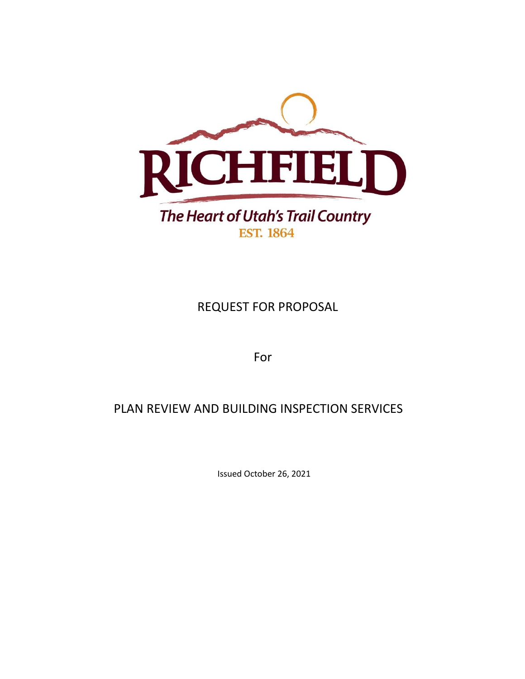

REQUEST FOR PROPOSAL

For

# PLAN REVIEW AND BUILDING INSPECTION SERVICES

Issued October 26, 2021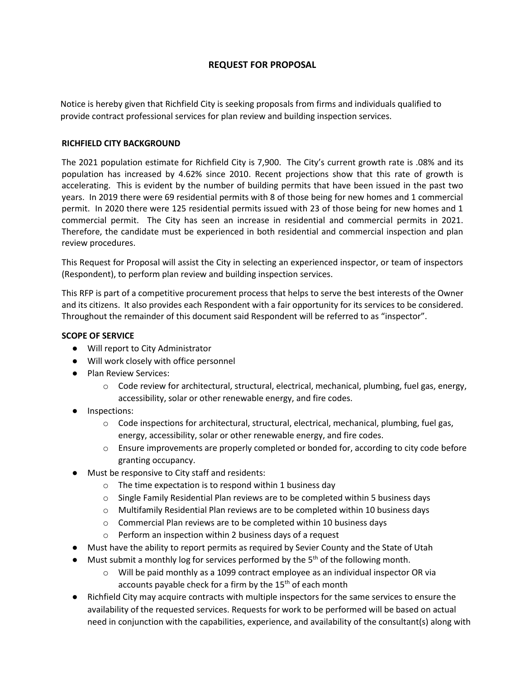# **REQUEST FOR PROPOSAL**

Notice is hereby given that Richfield City is seeking proposals from firms and individuals qualified to provide contract professional services for plan review and building inspection services.

## **RICHFIELD CITY BACKGROUND**

The 2021 population estimate for Richfield City is 7,900. The City's current growth rate is .08% and its population has increased by 4.62% since 2010. Recent projections show that this rate of growth is accelerating. This is evident by the number of building permits that have been issued in the past two years. In 2019 there were 69 residential permits with 8 of those being for new homes and 1 commercial permit. In 2020 there were 125 residential permits issued with 23 of those being for new homes and 1 commercial permit. The City has seen an increase in residential and commercial permits in 2021. Therefore, the candidate must be experienced in both residential and commercial inspection and plan review procedures.

This Request for Proposal will assist the City in selecting an experienced inspector, or team of inspectors (Respondent), to perform plan review and building inspection services.

This RFP is part of a competitive procurement process that helps to serve the best interests of the Owner and its citizens. It also provides each Respondent with a fair opportunity for its services to be considered. Throughout the remainder of this document said Respondent will be referred to as "inspector".

## **SCOPE OF SERVICE**

- Will report to City Administrator
- Will work closely with office personnel
- Plan Review Services:
	- $\circ$  Code review for architectural, structural, electrical, mechanical, plumbing, fuel gas, energy, accessibility, solar or other renewable energy, and fire codes.
- Inspections:
	- o Code inspections for architectural, structural, electrical, mechanical, plumbing, fuel gas, energy, accessibility, solar or other renewable energy, and fire codes.
	- o Ensure improvements are properly completed or bonded for, according to city code before granting occupancy.
- Must be responsive to City staff and residents:
	- o The time expectation is to respond within 1 business day
	- $\circ$  Single Family Residential Plan reviews are to be completed within 5 business days
	- o Multifamily Residential Plan reviews are to be completed within 10 business days
	- o Commercial Plan reviews are to be completed within 10 business days
	- o Perform an inspection within 2 business days of a request
- Must have the ability to report permits as required by Sevier County and the State of Utah
- Must submit a monthly log for services performed by the  $5<sup>th</sup>$  of the following month.
	- $\circ$  Will be paid monthly as a 1099 contract employee as an individual inspector OR via accounts payable check for a firm by the 15<sup>th</sup> of each month
- Richfield City may acquire contracts with multiple inspectors for the same services to ensure the availability of the requested services. Requests for work to be performed will be based on actual need in conjunction with the capabilities, experience, and availability of the consultant(s) along with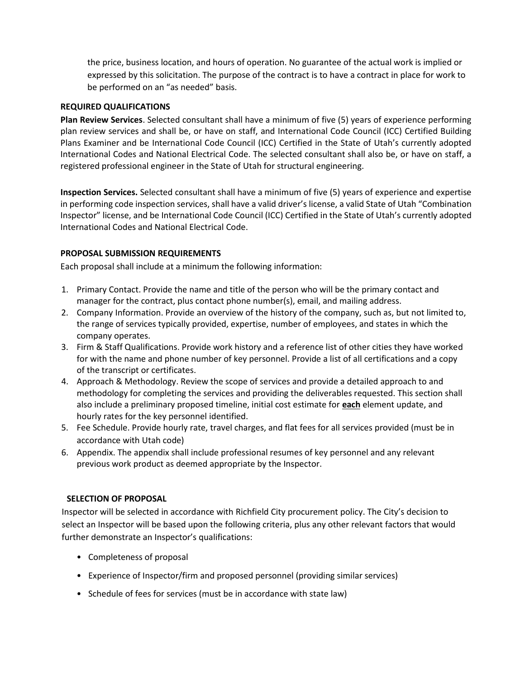the price, business location, and hours of operation. No guarantee of the actual work is implied or expressed by this solicitation. The purpose of the contract is to have a contract in place for work to be performed on an "as needed" basis.

# **REQUIRED QUALIFICATIONS**

**Plan Review Services**. Selected consultant shall have a minimum of five (5) years of experience performing plan review services and shall be, or have on staff, and International Code Council (ICC) Certified Building Plans Examiner and be International Code Council (ICC) Certified in the State of Utah's currently adopted International Codes and National Electrical Code. The selected consultant shall also be, or have on staff, a registered professional engineer in the State of Utah for structural engineering.

**Inspection Services.** Selected consultant shall have a minimum of five (5) years of experience and expertise in performing code inspection services, shall have a valid driver's license, a valid State of Utah "Combination Inspector" license, and be International Code Council (ICC) Certified in the State of Utah's currently adopted International Codes and National Electrical Code.

# **PROPOSAL SUBMISSION REQUIREMENTS**

Each proposal shall include at a minimum the following information:

- 1. Primary Contact. Provide the name and title of the person who will be the primary contact and manager for the contract, plus contact phone number(s), email, and mailing address.
- 2. Company Information. Provide an overview of the history of the company, such as, but not limited to, the range of services typically provided, expertise, number of employees, and states in which the company operates.
- 3. Firm & Staff Qualifications. Provide work history and a reference list of other cities they have worked for with the name and phone number of key personnel. Provide a list of all certifications and a copy of the transcript or certificates.
- 4. Approach & Methodology. Review the scope of services and provide a detailed approach to and methodology for completing the services and providing the deliverables requested. This section shall also include a preliminary proposed timeline, initial cost estimate for **each** element update, and hourly rates for the key personnel identified.
- 5. Fee Schedule. Provide hourly rate, travel charges, and flat fees for all services provided (must be in accordance with Utah code)
- 6. Appendix. The appendix shall include professional resumes of key personnel and any relevant previous work product as deemed appropriate by the Inspector.

## **SELECTION OF PROPOSAL**

Inspector will be selected in accordance with Richfield City procurement policy. The City's decision to select an Inspector will be based upon the following criteria, plus any other relevant factors that would further demonstrate an Inspector's qualifications:

- Completeness of proposal
- Experience of Inspector/firm and proposed personnel (providing similar services)
- Schedule of fees for services (must be in accordance with state law)